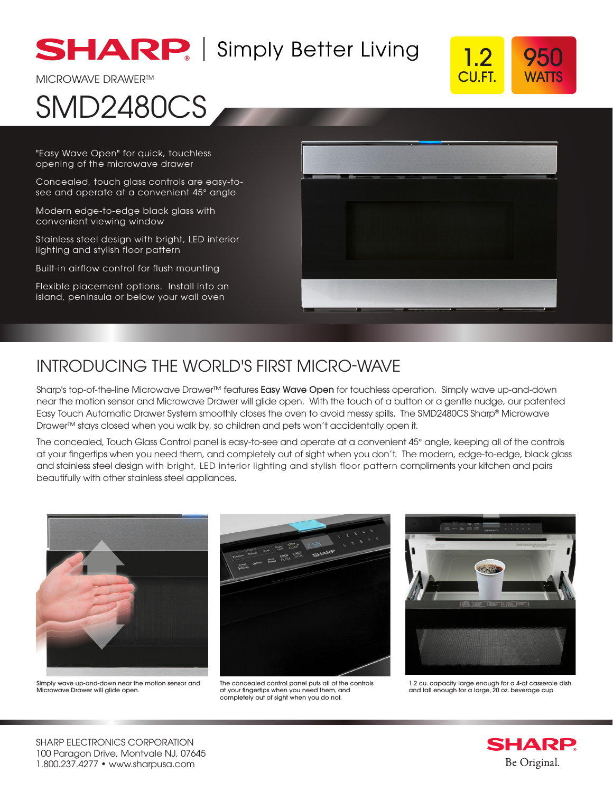

MICROWAVE DRAWER™ *CU.FT. T*MICROWAVE DRAWER™ **CU.FT.** THE CU.FT.

### 950 WATTS 1.2

# SMD2480CS

"Easy Wave Open" for quick, touchless opening of the microwave drawer

Concealed, touch glass controls are easy-tosee and operate at a convenient 45° angle

Modern edge-to-edge black glass with convenient viewing window

Stainless steel design with bright, LED interior lighting and stylish floor pattern

Built-in airflow control for flush mounting

Flexible placement options. Install into an island, peninsula or below your wall oven



## INTRODUCING THE WORLD'S FIRST MICRO-WAVE

Sharp's top-of-the-line Microwave Drawer™ features Easy Wave Open for touchless operation. Simply wave up-and-down near the motion sensor and Microwave Drawer will glide open. With the touch of a button or a gentle nudge, our patented Easy Touch Automatic Drawer System smoothly closes the oven to avoid messy spills. The SMD2480CS Sharp® Microwave Drawer™ stays closed when you walk by, so children and pets won't accidentally open it.

The concealed, Touch Glass Control panel is easy-to-see and operate at a convenient 45° angle, keeping all of the controls at your fingertips when you need them, and completely out of sight when you don't. The modern, edge-to-edge, black glass and stainless steel design with bright, LED interior lighting and stylish floor pattern compliments your kitchen and pairs beautifully with other stainless steel appliances.



Simply wave up-and-down near the motion sensor and Microwave Drawer will glide open.



The concealed control panel puts all of the controls at your fingertips when you need them, and completely out of sight when you do not.



1.2 cu. capacity large enough for a 4-qt casserole dish and tall enough for a large, 20 oz. beverage cup

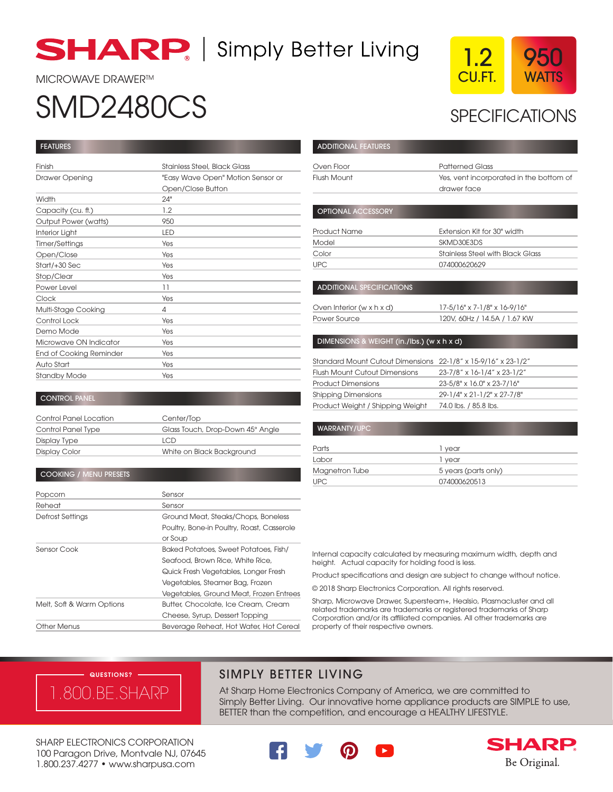

## **SHARP** | Simply Better Living

#### **MICROWAVE DRAWER™**

# SMD2480CS

#### **FEATURES**

| Finish                         | <b>Stainless Steel, Black Glass</b> |
|--------------------------------|-------------------------------------|
| <b>Drawer Opening</b>          | "Easy Wave Open" Motion Sensor or   |
|                                | Open/Close Button                   |
| Width                          | 24"                                 |
| Capacity (cu. ft.)             | 1.2                                 |
| Output Power (watts)           | 950                                 |
| Interior Light                 | LED                                 |
| Timer/Settings                 | Yes                                 |
| Open/Close                     | Yes                                 |
| Start/+30 Sec                  | Yes                                 |
| Stop/Clear                     | Yes                                 |
| Power Level                    | 11                                  |
| Clock                          | Yes                                 |
| Multi-Stage Cooking            | 4                                   |
| Control Lock                   | Yes                                 |
| Demo Mode                      | Yes                                 |
| Microwave ON Indicator         | Yes                                 |
| <b>End of Cooking Reminder</b> | Yes                                 |
| Auto Start                     | Yes                                 |
| <b>Standby Mode</b>            | Yes                                 |

#### CONTROL PANEL

| <b>Control Panel Location</b> | Center/Top                       |
|-------------------------------|----------------------------------|
| Control Panel Type            | Glass Touch, Drop-Down 45° Angle |
| Display Type                  | TCD                              |
| Display Color                 | White on Black Background        |

#### COOKING / MENU PRESETS

| Popcorn                   | Sensor                                     |
|---------------------------|--------------------------------------------|
| Reheat                    | Sensor                                     |
| Defrost Settings          | Ground Meat, Steaks/Chops, Boneless        |
|                           | Poultry, Bone-in Poultry, Roast, Casserole |
|                           | or Soup                                    |
| Sensor Cook               | Baked Potatoes, Sweet Potatoes, Fish/      |
|                           | Seafood, Brown Rice, White Rice,           |
|                           | Quick Fresh Vegetables, Longer Fresh       |
|                           | Vegetables, Steamer Bag, Frozen            |
|                           | Vegetables, Ground Meat, Frozen Entrees    |
| Melt, Soft & Warm Options | Butter, Chocolate, Ice Cream, Cream        |
|                           | Cheese, Syrup, Dessert Topping             |
| Other Menus               | Beverage Reheat, Hot Water, Hot Cereal     |



## **SPECIFICATIONS**

| <b>ADDITIONAL FEATURES</b>                 |                                         |
|--------------------------------------------|-----------------------------------------|
| Oven Floor                                 | <b>Patterned Glass</b>                  |
| Flush Mount                                | Yes, vent incorporated in the bottom of |
|                                            | drawer face                             |
|                                            |                                         |
| <b>OPTIONAL ACCESSORY</b>                  |                                         |
| <b>Product Name</b>                        | Extension Kit for 30" width             |
| Model                                      | SKMD30E3DS                              |
| Color                                      | <b>Stainless Steel with Black Glass</b> |
| <b>UPC</b>                                 | 074000620629                            |
|                                            |                                         |
| <b>ADDITIONAL SPECIFICATIONS</b>           |                                         |
| Oven Interior (w $x h x d$ )               | 17-5/16" x 7-1/8" x 16-9/16"            |
| Power Source                               | 120V, 60Hz / 14.5A / 1.67 KW            |
|                                            |                                         |
| DIMENSIONS & WEIGHT (in./lbs.) (w x h x d) |                                         |
| <b>Standard Mount Cutout Dimensions</b>    | 22-1/8" x 15-9/16" x 23-1/2"            |
| <b>Flush Mount Cutout Dimensions</b>       | 23-7/8" x 16-1/4" x 23-1/2"             |
| <b>Product Dimensions</b>                  | 23-5/8" x 16.0" x 23-7/16"              |
| <b>Shipping Dimensions</b>                 | 29-1/4" x 21-1/2" x 27-7/8"             |
| Product Weight / Shipping Weight           | 74.0 lbs. / 85.8 lbs.                   |
|                                            |                                         |

| Parts          | 1 year               |
|----------------|----------------------|
| Labor          | 1 year               |
| Magnetron Tube | 5 years (parts only) |
| <b>UPC</b>     | 074000620513         |
|                |                      |

Internal capacity calculated by measuring maximum width, depth and height. Actual capacity for holding food is less.

Product specifications and design are subject to change without notice.

© 2018 Sharp Electronics Corporation. All rights reserved.

Sharp, Microwave Drawer, Supersteam+, Healsio, Plasmacluster and all related trademarks are trademarks or registered trademarks of Sharp Corporation and/or its affiliated companies. All other trademarks are property of their respective owners.

### 1.800.BE.SHARP  $\cdot$  QUESTIONS?  $-$

### SIMPLY BETTER LIVING

At Sharp Home Electronics Company of America, we are committed to Simply Better Living. Our innovative home appliance products are SIMPLE to use, BETTER than the competition, and encourage a HEALTHY LIFESTYLE.

SHARP ELECTRONICS CORPORATION 100 Paragon Drive, Montvale NJ, 07645 1.800.237.4277 • www.sharpusa.com



WARRANTY/UPC